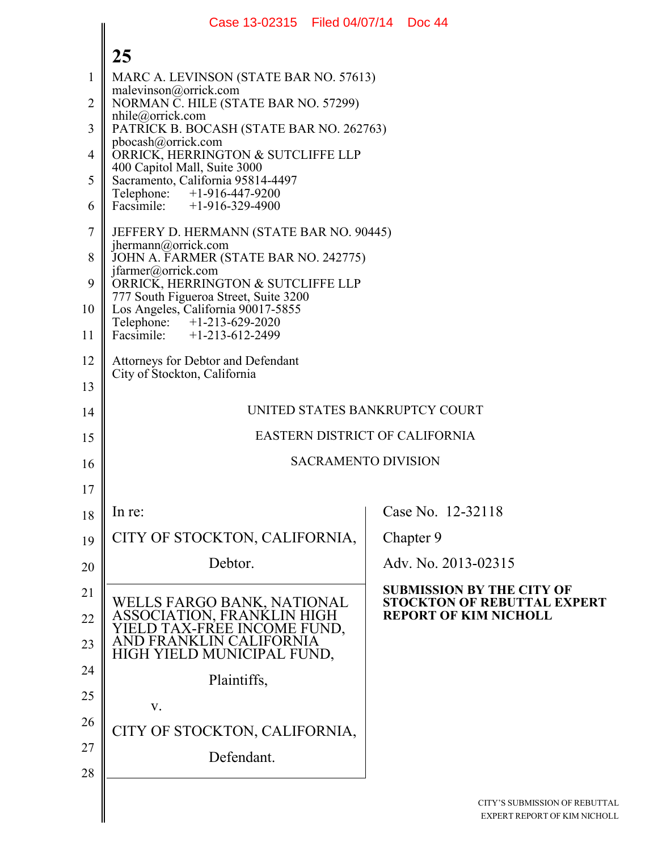| Case 13-02315   Filed 04/07/14   Doc 44     |                                                                                                                                                                                                                                                                                                                                                                                                                                                                                            |
|---------------------------------------------|--------------------------------------------------------------------------------------------------------------------------------------------------------------------------------------------------------------------------------------------------------------------------------------------------------------------------------------------------------------------------------------------------------------------------------------------------------------------------------------------|
|                                             |                                                                                                                                                                                                                                                                                                                                                                                                                                                                                            |
| MARC A. LEVINSON (STATE BAR NO. 57613)      |                                                                                                                                                                                                                                                                                                                                                                                                                                                                                            |
| NORMAN C. HILE (STATE BAR NO. 57299)        |                                                                                                                                                                                                                                                                                                                                                                                                                                                                                            |
| PATRICK B. BOCASH (STATE BAR NO. 262763)    |                                                                                                                                                                                                                                                                                                                                                                                                                                                                                            |
| ORRICK, HERRINGTON & SUTCLIFFE LLP          |                                                                                                                                                                                                                                                                                                                                                                                                                                                                                            |
| Sacramento, California 95814-4497           |                                                                                                                                                                                                                                                                                                                                                                                                                                                                                            |
|                                             |                                                                                                                                                                                                                                                                                                                                                                                                                                                                                            |
| JEFFERY D. HERMANN (STATE BAR NO. 90445)    |                                                                                                                                                                                                                                                                                                                                                                                                                                                                                            |
| JOHN A. FARMER (STATE BAR NO. 242775)       |                                                                                                                                                                                                                                                                                                                                                                                                                                                                                            |
| ORRICK, HERRINGTON & SUTCLIFFE LLP          |                                                                                                                                                                                                                                                                                                                                                                                                                                                                                            |
| Los Angeles, California 90017-5855          |                                                                                                                                                                                                                                                                                                                                                                                                                                                                                            |
|                                             |                                                                                                                                                                                                                                                                                                                                                                                                                                                                                            |
| Attorneys for Debtor and Defendant          |                                                                                                                                                                                                                                                                                                                                                                                                                                                                                            |
|                                             |                                                                                                                                                                                                                                                                                                                                                                                                                                                                                            |
|                                             | UNITED STATES BANKRUPTCY COURT                                                                                                                                                                                                                                                                                                                                                                                                                                                             |
|                                             | EASTERN DISTRICT OF CALIFORNIA                                                                                                                                                                                                                                                                                                                                                                                                                                                             |
|                                             | <b>SACRAMENTO DIVISION</b>                                                                                                                                                                                                                                                                                                                                                                                                                                                                 |
|                                             |                                                                                                                                                                                                                                                                                                                                                                                                                                                                                            |
| In re:                                      | Case No. 12-32118                                                                                                                                                                                                                                                                                                                                                                                                                                                                          |
| CITY OF STOCKTON, CALIFORNIA,               | Chapter 9                                                                                                                                                                                                                                                                                                                                                                                                                                                                                  |
| Debtor.                                     | Adv. No. 2013-02315                                                                                                                                                                                                                                                                                                                                                                                                                                                                        |
|                                             | <b>SUBMISSION BY THE CITY OF</b><br><b>STOCKTON OF REBUTTAL EXPERT</b>                                                                                                                                                                                                                                                                                                                                                                                                                     |
| <b>ASSOCIATION, FRANKLIN</b><br><b>HIGH</b> | <b>REPORT OF KIM NICHOLL</b>                                                                                                                                                                                                                                                                                                                                                                                                                                                               |
| FORNIA                                      |                                                                                                                                                                                                                                                                                                                                                                                                                                                                                            |
|                                             |                                                                                                                                                                                                                                                                                                                                                                                                                                                                                            |
| V.                                          |                                                                                                                                                                                                                                                                                                                                                                                                                                                                                            |
|                                             |                                                                                                                                                                                                                                                                                                                                                                                                                                                                                            |
| Defendant.                                  |                                                                                                                                                                                                                                                                                                                                                                                                                                                                                            |
|                                             |                                                                                                                                                                                                                                                                                                                                                                                                                                                                                            |
|                                             | CITY'S SUBMISSION OF REBUTTA<br>EXPERT REPORT OF KIM NICHOL                                                                                                                                                                                                                                                                                                                                                                                                                                |
|                                             | 25<br>malevinson@orrick.com<br>$n$ hile@orrick.com<br>pbocash@orrick.com<br>400 Capitol Mall, Suite 3000<br>Telephone: +1-916-447-9200<br>Facsimile: +1-916-329-4900<br>jhermann@orrick.com<br>jfarmer@orrick.com<br>777 South Figueroa Street, Suite 3200<br>Telephone: +1-213-629-2020<br>Facsimile: +1-213-612-2499<br>City of Stockton, California<br>WELLS FARGO BANK, NATIONAL<br>AX-FREE INCOME FUND.<br>HIGH YIELD MUNICIPAL FUND,<br>Plaintiffs,<br>CITY OF STOCKTON, CALIFORNIA, |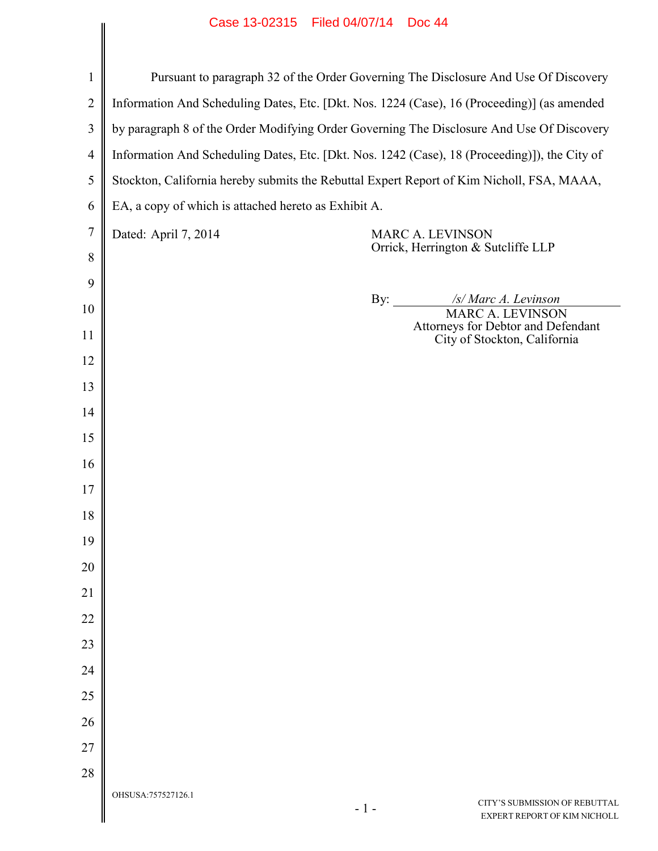|                | Case 13-02313 Filed 04/07/14 DOC 44                                                           |
|----------------|-----------------------------------------------------------------------------------------------|
|                |                                                                                               |
| $\mathbf{1}$   | Pursuant to paragraph 32 of the Order Governing The Disclosure And Use Of Discovery           |
| $\overline{2}$ | Information And Scheduling Dates, Etc. [Dkt. Nos. 1224 (Case), 16 (Proceeding)] (as amended   |
| 3              | by paragraph 8 of the Order Modifying Order Governing The Disclosure And Use Of Discovery     |
| $\overline{4}$ | Information And Scheduling Dates, Etc. [Dkt. Nos. 1242 (Case), 18 (Proceeding)]), the City of |
| 5              | Stockton, California hereby submits the Rebuttal Expert Report of Kim Nicholl, FSA, MAAA,     |
| 6              | EA, a copy of which is attached hereto as Exhibit A.                                          |
| $\overline{7}$ | Dated: April 7, 2014<br><b>MARC A. LEVINSON</b><br>Orrick, Herrington & Sutcliffe LLP         |
| 8              |                                                                                               |
| 9              | By: $\qquad \qquad$<br>/s/ Marc A. Levinson                                                   |
| 10             | <b>MARC A. LEVINSON</b><br>Attorneys for Debtor and Defendant                                 |
| 11             | City of Stockton, California                                                                  |
| 12<br>13       |                                                                                               |
| 14             |                                                                                               |
| 15             |                                                                                               |
| 16             |                                                                                               |
| 17             |                                                                                               |
| 18             |                                                                                               |
| 19             |                                                                                               |
| 20             |                                                                                               |
| 21             |                                                                                               |
| 22             |                                                                                               |
| 23             |                                                                                               |
| 24             |                                                                                               |
| 25             |                                                                                               |
| 26             |                                                                                               |
| 27             |                                                                                               |
| 28             |                                                                                               |
|                | OHSUSA:757527126.1<br>CITY'S SUBMISSION OF REBUTTAL<br>$-1-$<br>EXPERT REPORT OF KIM NICHOLL  |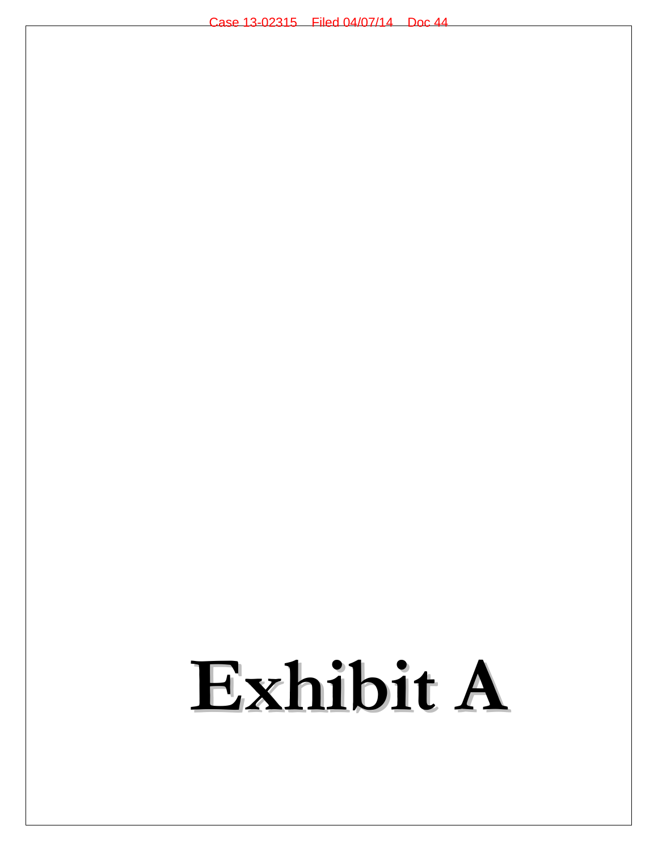# **Exhibit A**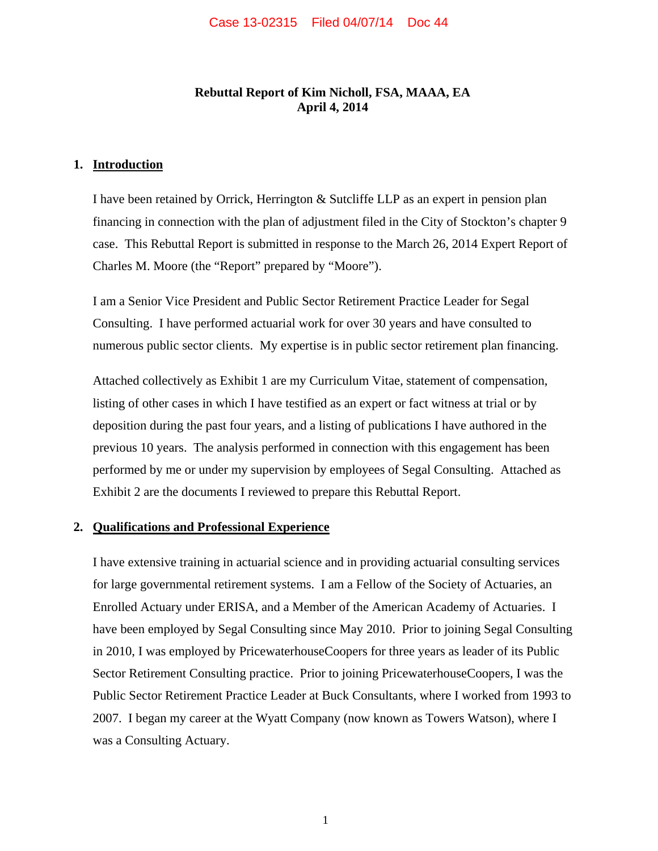## **Rebuttal Report of Kim Nicholl, FSA, MAAA, EA April 4, 2014**

#### **1. Introduction**

I have been retained by Orrick, Herrington & Sutcliffe LLP as an expert in pension plan financing in connection with the plan of adjustment filed in the City of Stockton's chapter 9 case. This Rebuttal Report is submitted in response to the March 26, 2014 Expert Report of Charles M. Moore (the "Report" prepared by "Moore").

I am a Senior Vice President and Public Sector Retirement Practice Leader for Segal Consulting. I have performed actuarial work for over 30 years and have consulted to numerous public sector clients. My expertise is in public sector retirement plan financing.

Attached collectively as Exhibit 1 are my Curriculum Vitae, statement of compensation, listing of other cases in which I have testified as an expert or fact witness at trial or by deposition during the past four years, and a listing of publications I have authored in the previous 10 years. The analysis performed in connection with this engagement has been performed by me or under my supervision by employees of Segal Consulting. Attached as Exhibit 2 are the documents I reviewed to prepare this Rebuttal Report.

#### **2. Qualifications and Professional Experience**

I have extensive training in actuarial science and in providing actuarial consulting services for large governmental retirement systems. I am a Fellow of the Society of Actuaries, an Enrolled Actuary under ERISA, and a Member of the American Academy of Actuaries. I have been employed by Segal Consulting since May 2010. Prior to joining Segal Consulting in 2010, I was employed by PricewaterhouseCoopers for three years as leader of its Public Sector Retirement Consulting practice. Prior to joining PricewaterhouseCoopers, I was the Public Sector Retirement Practice Leader at Buck Consultants, where I worked from 1993 to 2007. I began my career at the Wyatt Company (now known as Towers Watson), where I was a Consulting Actuary.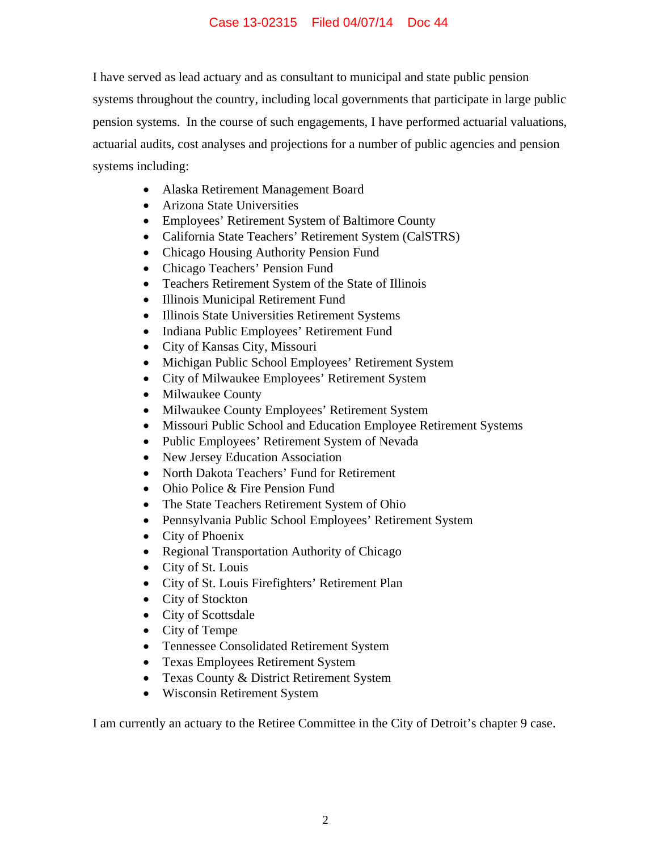I have served as lead actuary and as consultant to municipal and state public pension systems throughout the country, including local governments that participate in large public pension systems. In the course of such engagements, I have performed actuarial valuations, actuarial audits, cost analyses and projections for a number of public agencies and pension systems including:

- Alaska Retirement Management Board
- Arizona State Universities
- Employees' Retirement System of Baltimore County
- California State Teachers' Retirement System (CalSTRS)
- Chicago Housing Authority Pension Fund
- Chicago Teachers' Pension Fund
- Teachers Retirement System of the State of Illinois
- Illinois Municipal Retirement Fund
- Illinois State Universities Retirement Systems
- Indiana Public Employees' Retirement Fund
- City of Kansas City, Missouri
- Michigan Public School Employees' Retirement System
- City of Milwaukee Employees' Retirement System
- Milwaukee County
- Milwaukee County Employees' Retirement System
- Missouri Public School and Education Employee Retirement Systems
- Public Employees' Retirement System of Nevada
- New Jersey Education Association
- North Dakota Teachers' Fund for Retirement
- Ohio Police & Fire Pension Fund
- The State Teachers Retirement System of Ohio
- Pennsylvania Public School Employees' Retirement System
- City of Phoenix
- Regional Transportation Authority of Chicago
- City of St. Louis
- City of St. Louis Firefighters' Retirement Plan
- City of Stockton
- City of Scottsdale
- City of Tempe
- Tennessee Consolidated Retirement System
- Texas Employees Retirement System
- Texas County & District Retirement System
- Wisconsin Retirement System

I am currently an actuary to the Retiree Committee in the City of Detroit's chapter 9 case.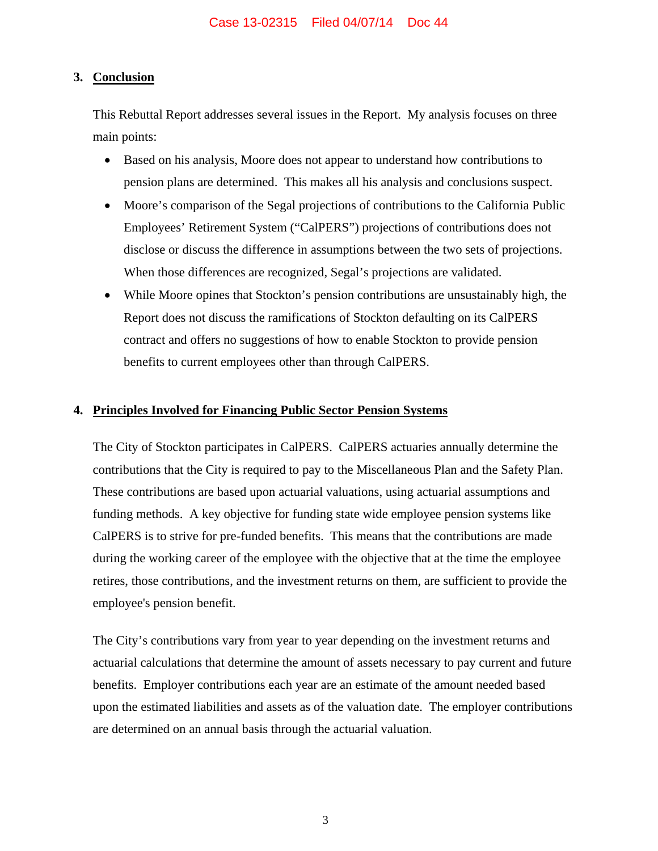## **3. Conclusion**

This Rebuttal Report addresses several issues in the Report. My analysis focuses on three main points:

- Based on his analysis, Moore does not appear to understand how contributions to pension plans are determined. This makes all his analysis and conclusions suspect.
- Moore's comparison of the Segal projections of contributions to the California Public Employees' Retirement System ("CalPERS") projections of contributions does not disclose or discuss the difference in assumptions between the two sets of projections. When those differences are recognized, Segal's projections are validated.
- While Moore opines that Stockton's pension contributions are unsustainably high, the Report does not discuss the ramifications of Stockton defaulting on its CalPERS contract and offers no suggestions of how to enable Stockton to provide pension benefits to current employees other than through CalPERS.

## **4. Principles Involved for Financing Public Sector Pension Systems**

The City of Stockton participates in CalPERS. CalPERS actuaries annually determine the contributions that the City is required to pay to the Miscellaneous Plan and the Safety Plan. These contributions are based upon actuarial valuations, using actuarial assumptions and funding methods. A key objective for funding state wide employee pension systems like CalPERS is to strive for pre-funded benefits. This means that the contributions are made during the working career of the employee with the objective that at the time the employee retires, those contributions, and the investment returns on them, are sufficient to provide the employee's pension benefit.

The City's contributions vary from year to year depending on the investment returns and actuarial calculations that determine the amount of assets necessary to pay current and future benefits. Employer contributions each year are an estimate of the amount needed based upon the estimated liabilities and assets as of the valuation date. The employer contributions are determined on an annual basis through the actuarial valuation.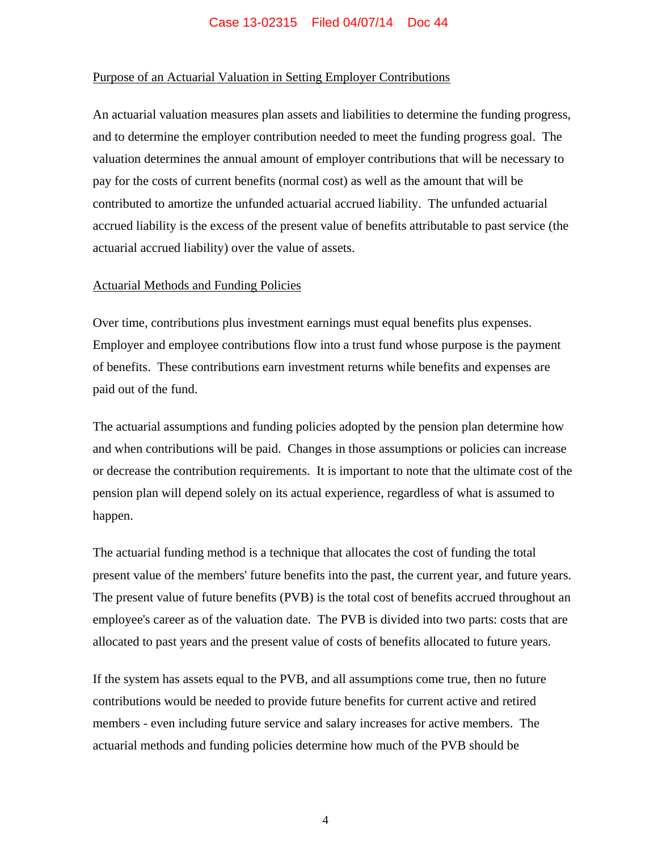#### Purpose of an Actuarial Valuation in Setting Employer Contributions

An actuarial valuation measures plan assets and liabilities to determine the funding progress, and to determine the employer contribution needed to meet the funding progress goal. The valuation determines the annual amount of employer contributions that will be necessary to pay for the costs of current benefits (normal cost) as well as the amount that will be contributed to amortize the unfunded actuarial accrued liability. The unfunded actuarial accrued liability is the excess of the present value of benefits attributable to past service (the actuarial accrued liability) over the value of assets.

#### Actuarial Methods and Funding Policies

Over time, contributions plus investment earnings must equal benefits plus expenses. Employer and employee contributions flow into a trust fund whose purpose is the payment of benefits. These contributions earn investment returns while benefits and expenses are paid out of the fund.

The actuarial assumptions and funding policies adopted by the pension plan determine how and when contributions will be paid. Changes in those assumptions or policies can increase or decrease the contribution requirements. It is important to note that the ultimate cost of the pension plan will depend solely on its actual experience, regardless of what is assumed to happen.

The actuarial funding method is a technique that allocates the cost of funding the total present value of the members' future benefits into the past, the current year, and future years. The present value of future benefits (PVB) is the total cost of benefits accrued throughout an employee's career as of the valuation date. The PVB is divided into two parts: costs that are allocated to past years and the present value of costs of benefits allocated to future years.

If the system has assets equal to the PVB, and all assumptions come true, then no future contributions would be needed to provide future benefits for current active and retired members - even including future service and salary increases for active members. The actuarial methods and funding policies determine how much of the PVB should be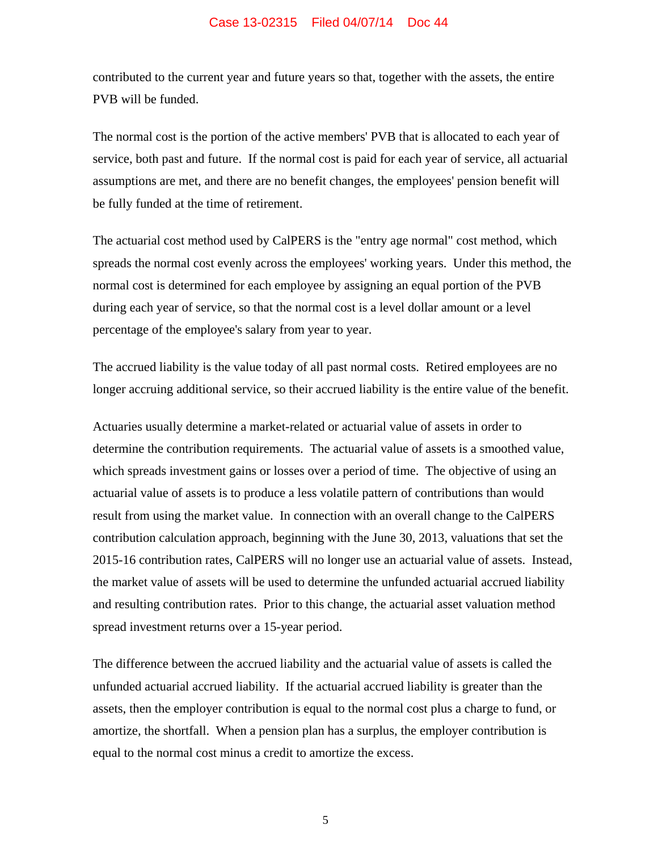contributed to the current year and future years so that, together with the assets, the entire PVB will be funded.

The normal cost is the portion of the active members' PVB that is allocated to each year of service, both past and future. If the normal cost is paid for each year of service, all actuarial assumptions are met, and there are no benefit changes, the employees' pension benefit will be fully funded at the time of retirement.

The actuarial cost method used by CalPERS is the "entry age normal" cost method, which spreads the normal cost evenly across the employees' working years. Under this method, the normal cost is determined for each employee by assigning an equal portion of the PVB during each year of service, so that the normal cost is a level dollar amount or a level percentage of the employee's salary from year to year.

The accrued liability is the value today of all past normal costs. Retired employees are no longer accruing additional service, so their accrued liability is the entire value of the benefit.

Actuaries usually determine a market-related or actuarial value of assets in order to determine the contribution requirements. The actuarial value of assets is a smoothed value, which spreads investment gains or losses over a period of time. The objective of using an actuarial value of assets is to produce a less volatile pattern of contributions than would result from using the market value. In connection with an overall change to the CalPERS contribution calculation approach, beginning with the June 30, 2013, valuations that set the 2015-16 contribution rates, CalPERS will no longer use an actuarial value of assets. Instead, the market value of assets will be used to determine the unfunded actuarial accrued liability and resulting contribution rates. Prior to this change, the actuarial asset valuation method spread investment returns over a 15-year period.

The difference between the accrued liability and the actuarial value of assets is called the unfunded actuarial accrued liability. If the actuarial accrued liability is greater than the assets, then the employer contribution is equal to the normal cost plus a charge to fund, or amortize, the shortfall. When a pension plan has a surplus, the employer contribution is equal to the normal cost minus a credit to amortize the excess.

5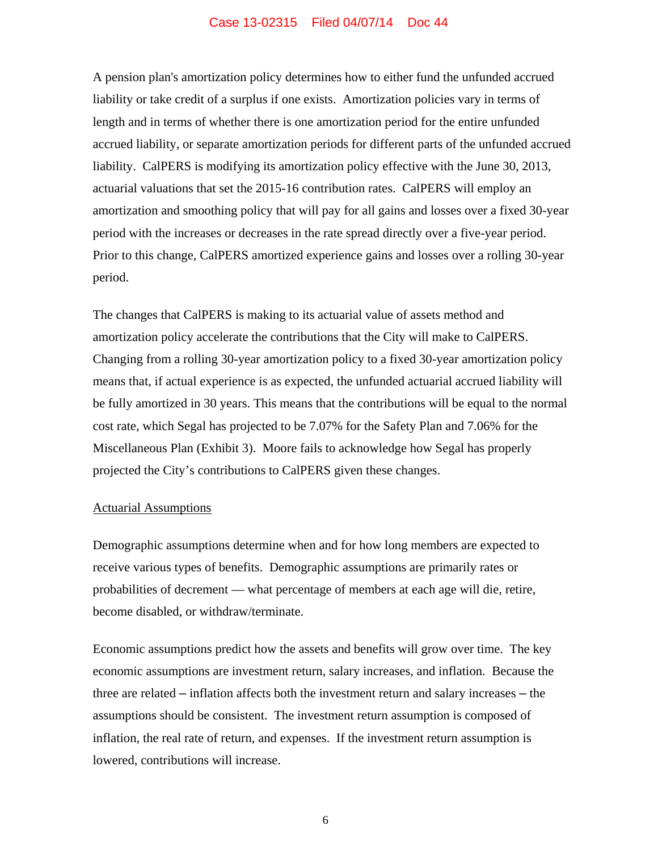A pension plan's amortization policy determines how to either fund the unfunded accrued liability or take credit of a surplus if one exists. Amortization policies vary in terms of length and in terms of whether there is one amortization period for the entire unfunded accrued liability, or separate amortization periods for different parts of the unfunded accrued liability. CalPERS is modifying its amortization policy effective with the June 30, 2013, actuarial valuations that set the 2015-16 contribution rates. CalPERS will employ an amortization and smoothing policy that will pay for all gains and losses over a fixed 30-year period with the increases or decreases in the rate spread directly over a five-year period. Prior to this change, CalPERS amortized experience gains and losses over a rolling 30-year period.

The changes that CalPERS is making to its actuarial value of assets method and amortization policy accelerate the contributions that the City will make to CalPERS. Changing from a rolling 30-year amortization policy to a fixed 30-year amortization policy means that, if actual experience is as expected, the unfunded actuarial accrued liability will be fully amortized in 30 years. This means that the contributions will be equal to the normal cost rate, which Segal has projected to be 7.07% for the Safety Plan and 7.06% for the Miscellaneous Plan (Exhibit 3). Moore fails to acknowledge how Segal has properly projected the City's contributions to CalPERS given these changes.

#### Actuarial Assumptions

Demographic assumptions determine when and for how long members are expected to receive various types of benefits. Demographic assumptions are primarily rates or probabilities of decrement — what percentage of members at each age will die, retire, become disabled, or withdraw/terminate.

Economic assumptions predict how the assets and benefits will grow over time. The key economic assumptions are investment return, salary increases, and inflation. Because the three are related – inflation affects both the investment return and salary increases – the assumptions should be consistent. The investment return assumption is composed of inflation, the real rate of return, and expenses. If the investment return assumption is lowered, contributions will increase.

6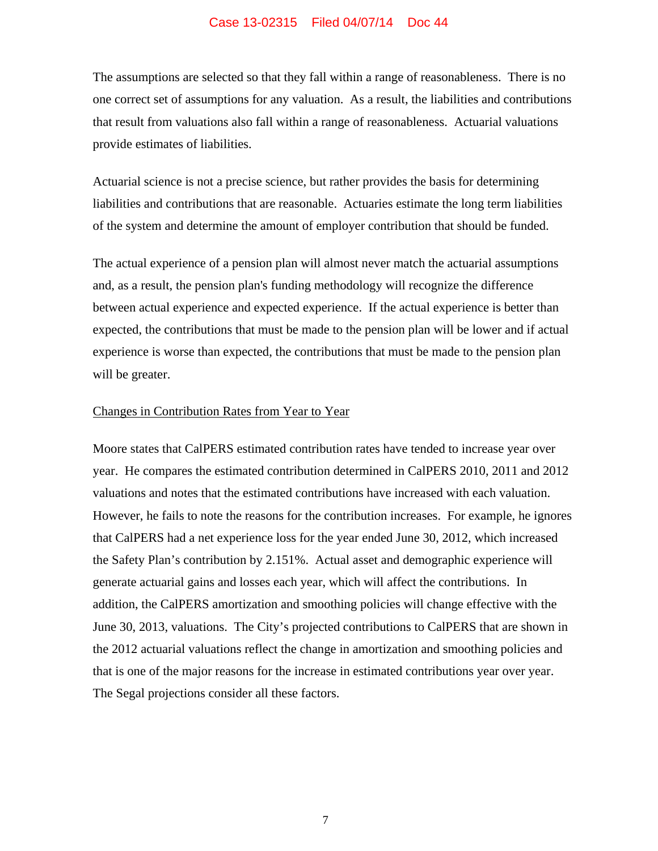The assumptions are selected so that they fall within a range of reasonableness. There is no one correct set of assumptions for any valuation. As a result, the liabilities and contributions that result from valuations also fall within a range of reasonableness. Actuarial valuations provide estimates of liabilities.

Actuarial science is not a precise science, but rather provides the basis for determining liabilities and contributions that are reasonable. Actuaries estimate the long term liabilities of the system and determine the amount of employer contribution that should be funded.

The actual experience of a pension plan will almost never match the actuarial assumptions and, as a result, the pension plan's funding methodology will recognize the difference between actual experience and expected experience. If the actual experience is better than expected, the contributions that must be made to the pension plan will be lower and if actual experience is worse than expected, the contributions that must be made to the pension plan will be greater.

#### Changes in Contribution Rates from Year to Year

Moore states that CalPERS estimated contribution rates have tended to increase year over year. He compares the estimated contribution determined in CalPERS 2010, 2011 and 2012 valuations and notes that the estimated contributions have increased with each valuation. However, he fails to note the reasons for the contribution increases. For example, he ignores that CalPERS had a net experience loss for the year ended June 30, 2012, which increased the Safety Plan's contribution by 2.151%. Actual asset and demographic experience will generate actuarial gains and losses each year, which will affect the contributions. In addition, the CalPERS amortization and smoothing policies will change effective with the June 30, 2013, valuations. The City's projected contributions to CalPERS that are shown in the 2012 actuarial valuations reflect the change in amortization and smoothing policies and that is one of the major reasons for the increase in estimated contributions year over year. The Segal projections consider all these factors.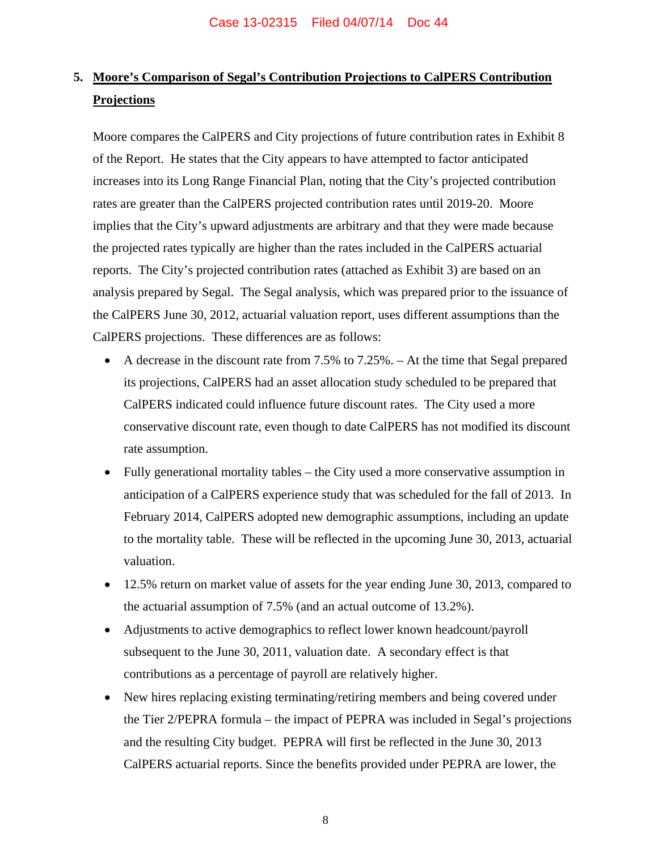# **5. Moore's Comparison of Segal's Contribution Projections to CalPERS Contribution Projections**

Moore compares the CalPERS and City projections of future contribution rates in Exhibit 8 of the Report. He states that the City appears to have attempted to factor anticipated increases into its Long Range Financial Plan, noting that the City's projected contribution rates are greater than the CalPERS projected contribution rates until 2019-20. Moore implies that the City's upward adjustments are arbitrary and that they were made because the projected rates typically are higher than the rates included in the CalPERS actuarial reports. The City's projected contribution rates (attached as Exhibit 3) are based on an analysis prepared by Segal. The Segal analysis, which was prepared prior to the issuance of the CalPERS June 30, 2012, actuarial valuation report, uses different assumptions than the CalPERS projections. These differences are as follows:

- A decrease in the discount rate from 7.5% to 7.25%. At the time that Segal prepared its projections, CalPERS had an asset allocation study scheduled to be prepared that CalPERS indicated could influence future discount rates. The City used a more conservative discount rate, even though to date CalPERS has not modified its discount rate assumption.
- Fully generational mortality tables the City used a more conservative assumption in anticipation of a CalPERS experience study that was scheduled for the fall of 2013. In February 2014, CalPERS adopted new demographic assumptions, including an update to the mortality table. These will be reflected in the upcoming June 30, 2013, actuarial valuation.
- 12.5% return on market value of assets for the year ending June 30, 2013, compared to the actuarial assumption of 7.5% (and an actual outcome of 13.2%).
- Adjustments to active demographics to reflect lower known headcount/payroll subsequent to the June 30, 2011, valuation date. A secondary effect is that contributions as a percentage of payroll are relatively higher.
- New hires replacing existing terminating/retiring members and being covered under the Tier 2/PEPRA formula – the impact of PEPRA was included in Segal's projections and the resulting City budget. PEPRA will first be reflected in the June 30, 2013 CalPERS actuarial reports. Since the benefits provided under PEPRA are lower, the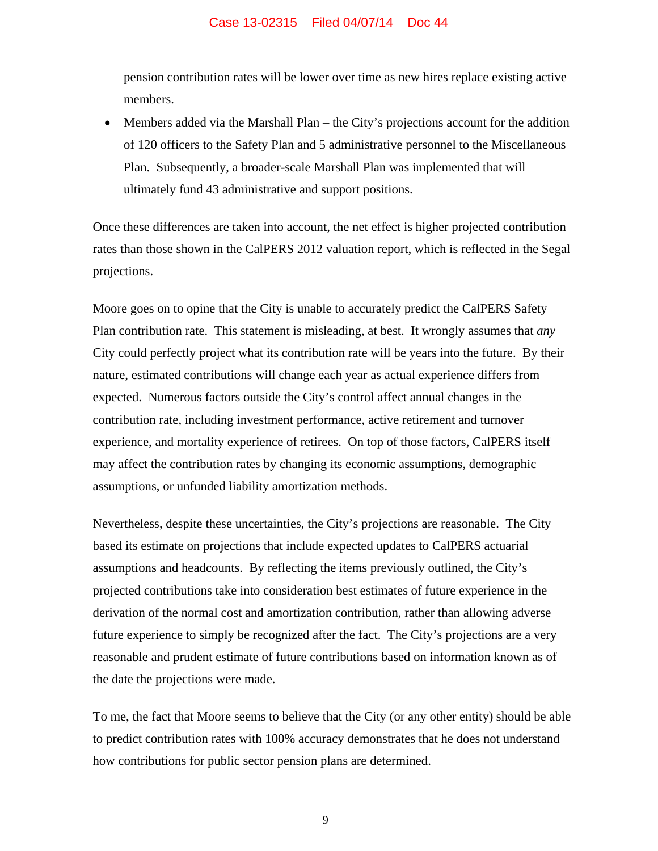pension contribution rates will be lower over time as new hires replace existing active members.

 Members added via the Marshall Plan – the City's projections account for the addition of 120 officers to the Safety Plan and 5 administrative personnel to the Miscellaneous Plan. Subsequently, a broader-scale Marshall Plan was implemented that will ultimately fund 43 administrative and support positions.

Once these differences are taken into account, the net effect is higher projected contribution rates than those shown in the CalPERS 2012 valuation report, which is reflected in the Segal projections.

Moore goes on to opine that the City is unable to accurately predict the CalPERS Safety Plan contribution rate. This statement is misleading, at best. It wrongly assumes that *any* City could perfectly project what its contribution rate will be years into the future. By their nature, estimated contributions will change each year as actual experience differs from expected. Numerous factors outside the City's control affect annual changes in the contribution rate, including investment performance, active retirement and turnover experience, and mortality experience of retirees. On top of those factors, CalPERS itself may affect the contribution rates by changing its economic assumptions, demographic assumptions, or unfunded liability amortization methods.

Nevertheless, despite these uncertainties, the City's projections are reasonable. The City based its estimate on projections that include expected updates to CalPERS actuarial assumptions and headcounts. By reflecting the items previously outlined, the City's projected contributions take into consideration best estimates of future experience in the derivation of the normal cost and amortization contribution, rather than allowing adverse future experience to simply be recognized after the fact. The City's projections are a very reasonable and prudent estimate of future contributions based on information known as of the date the projections were made.

To me, the fact that Moore seems to believe that the City (or any other entity) should be able to predict contribution rates with 100% accuracy demonstrates that he does not understand how contributions for public sector pension plans are determined.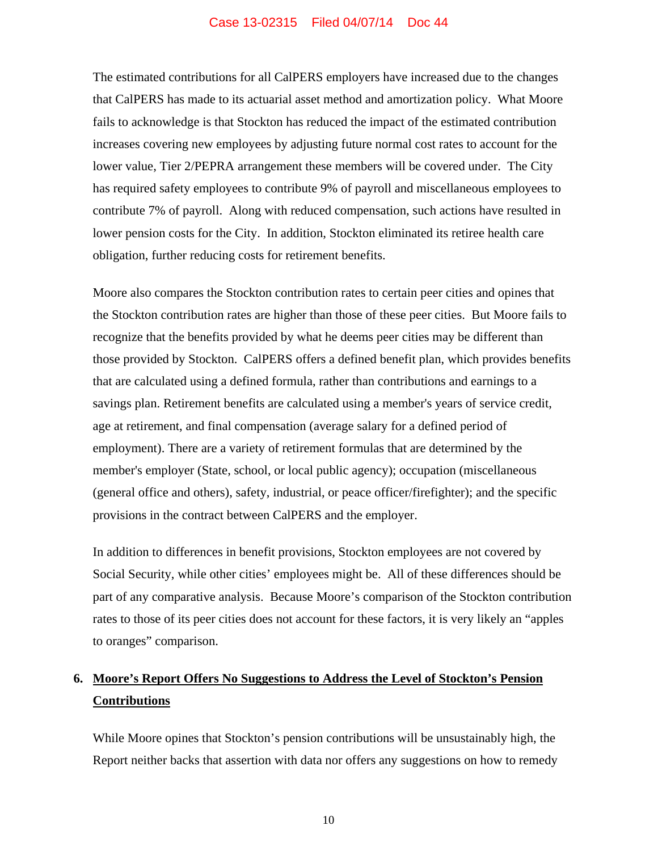The estimated contributions for all CalPERS employers have increased due to the changes that CalPERS has made to its actuarial asset method and amortization policy. What Moore fails to acknowledge is that Stockton has reduced the impact of the estimated contribution increases covering new employees by adjusting future normal cost rates to account for the lower value, Tier 2/PEPRA arrangement these members will be covered under. The City has required safety employees to contribute 9% of payroll and miscellaneous employees to contribute 7% of payroll. Along with reduced compensation, such actions have resulted in lower pension costs for the City. In addition, Stockton eliminated its retiree health care obligation, further reducing costs for retirement benefits.

Moore also compares the Stockton contribution rates to certain peer cities and opines that the Stockton contribution rates are higher than those of these peer cities. But Moore fails to recognize that the benefits provided by what he deems peer cities may be different than those provided by Stockton. CalPERS offers a defined benefit plan, which provides benefits that are calculated using a defined formula, rather than contributions and earnings to a savings plan. Retirement benefits are calculated using a member's years of service credit, age at retirement, and final compensation (average salary for a defined period of employment). There are a variety of retirement formulas that are determined by the member's employer (State, school, or local public agency); occupation (miscellaneous (general office and others), safety, industrial, or peace officer/firefighter); and the specific provisions in the contract between CalPERS and the employer.

In addition to differences in benefit provisions, Stockton employees are not covered by Social Security, while other cities' employees might be. All of these differences should be part of any comparative analysis. Because Moore's comparison of the Stockton contribution rates to those of its peer cities does not account for these factors, it is very likely an "apples to oranges" comparison.

# **6. Moore's Report Offers No Suggestions to Address the Level of Stockton's Pension Contributions**

While Moore opines that Stockton's pension contributions will be unsustainably high, the Report neither backs that assertion with data nor offers any suggestions on how to remedy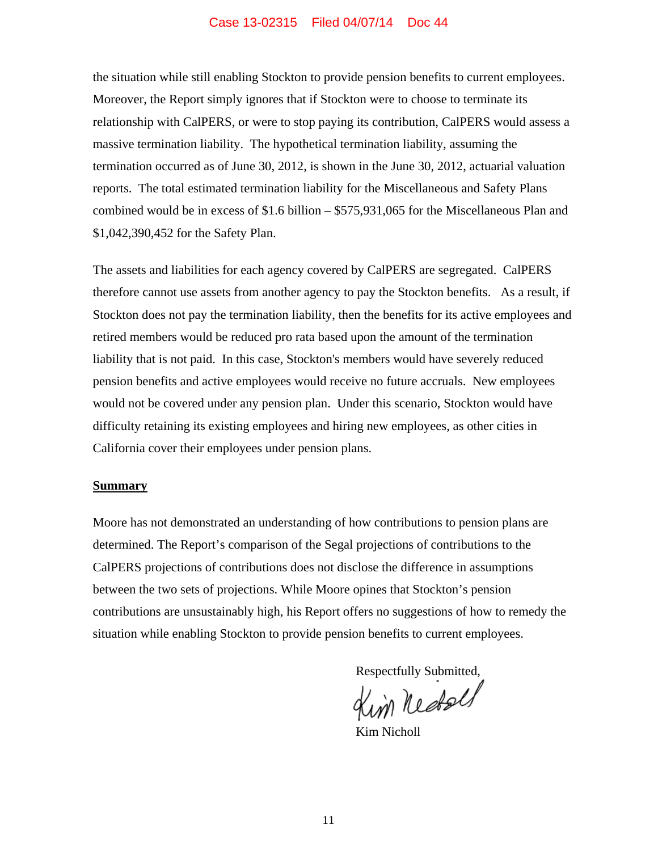the situation while still enabling Stockton to provide pension benefits to current employees. Moreover, the Report simply ignores that if Stockton were to choose to terminate its relationship with CalPERS, or were to stop paying its contribution, CalPERS would assess a massive termination liability. The hypothetical termination liability, assuming the termination occurred as of June 30, 2012, is shown in the June 30, 2012, actuarial valuation reports. The total estimated termination liability for the Miscellaneous and Safety Plans combined would be in excess of \$1.6 billion – \$575,931,065 for the Miscellaneous Plan and \$1,042,390,452 for the Safety Plan.

The assets and liabilities for each agency covered by CalPERS are segregated. CalPERS therefore cannot use assets from another agency to pay the Stockton benefits. As a result, if Stockton does not pay the termination liability, then the benefits for its active employees and retired members would be reduced pro rata based upon the amount of the termination liability that is not paid. In this case, Stockton's members would have severely reduced pension benefits and active employees would receive no future accruals. New employees would not be covered under any pension plan. Under this scenario, Stockton would have difficulty retaining its existing employees and hiring new employees, as other cities in California cover their employees under pension plans.

#### **Summary**

Moore has not demonstrated an understanding of how contributions to pension plans are determined. The Report's comparison of the Segal projections of contributions to the CalPERS projections of contributions does not disclose the difference in assumptions between the two sets of projections. While Moore opines that Stockton's pension contributions are unsustainably high, his Report offers no suggestions of how to remedy the situation while enabling Stockton to provide pension benefits to current employees.

Respectfully Submitted,

Kim Nicholl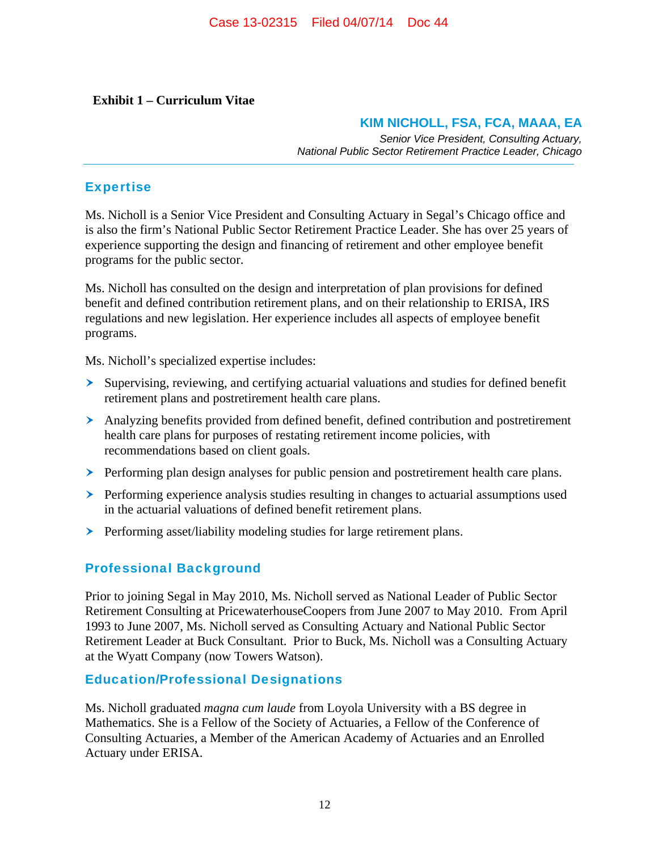## **Exhibit 1 – Curriculum Vitae**

## **KIM NICHOLL, FSA, FCA, MAAA, EA**

*Senior Vice President, Consulting Actuary, National Public Sector Retirement Practice Leader, Chicago*

## Expertise

Ms. Nicholl is a Senior Vice President and Consulting Actuary in Segal's Chicago office and is also the firm's National Public Sector Retirement Practice Leader. She has over 25 years of experience supporting the design and financing of retirement and other employee benefit programs for the public sector.

Ms. Nicholl has consulted on the design and interpretation of plan provisions for defined benefit and defined contribution retirement plans, and on their relationship to ERISA, IRS regulations and new legislation. Her experience includes all aspects of employee benefit programs.

Ms. Nicholl's specialized expertise includes:

- Supervising, reviewing, and certifying actuarial valuations and studies for defined benefit retirement plans and postretirement health care plans.
- Analyzing benefits provided from defined benefit, defined contribution and postretirement health care plans for purposes of restating retirement income policies, with recommendations based on client goals.
- $\triangleright$  Performing plan design analyses for public pension and postretirement health care plans.
- $\triangleright$  Performing experience analysis studies resulting in changes to actuarial assumptions used in the actuarial valuations of defined benefit retirement plans.
- **Performing asset/liability modeling studies for large retirement plans.**

## Professional Background

Prior to joining Segal in May 2010, Ms. Nicholl served as National Leader of Public Sector Retirement Consulting at PricewaterhouseCoopers from June 2007 to May 2010. From April 1993 to June 2007, Ms. Nicholl served as Consulting Actuary and National Public Sector Retirement Leader at Buck Consultant. Prior to Buck, Ms. Nicholl was a Consulting Actuary at the Wyatt Company (now Towers Watson).

## Education/Professional Designations

Ms. Nicholl graduated *magna cum laude* from Loyola University with a BS degree in Mathematics. She is a Fellow of the Society of Actuaries, a Fellow of the Conference of Consulting Actuaries, a Member of the American Academy of Actuaries and an Enrolled Actuary under ERISA.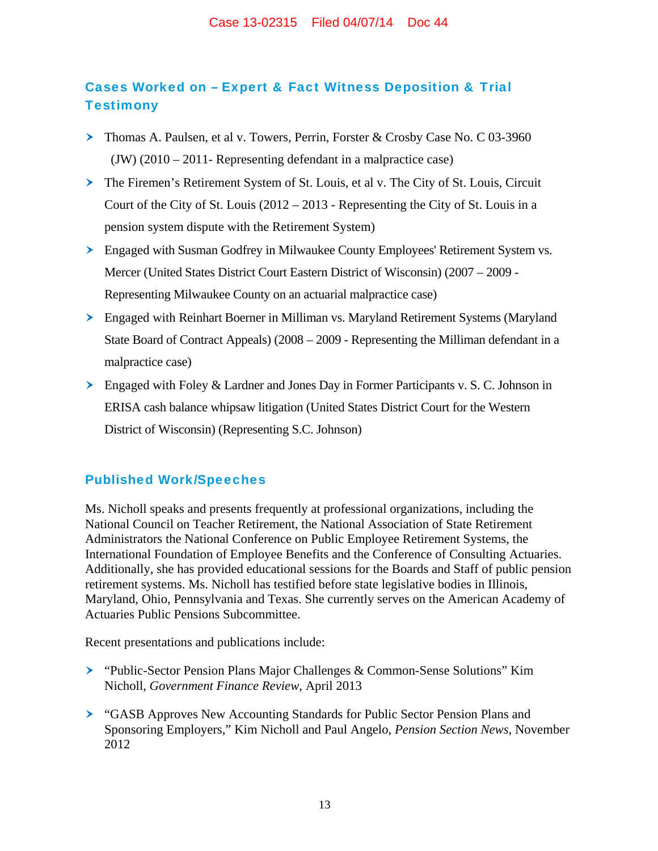# Cases Worked on – Expert & Fact Witness Deposition & Trial **Testimony**

- Thomas A. Paulsen, et al v. Towers, Perrin, Forster & Crosby Case No. C 03-3960 (JW) (2010 – 2011- Representing defendant in a malpractice case)
- The Firemen's Retirement System of St. Louis, et al v. The City of St. Louis, Circuit Court of the City of St. Louis (2012 – 2013 - Representing the City of St. Louis in a pension system dispute with the Retirement System)
- Engaged with Susman Godfrey in Milwaukee County Employees' Retirement System vs. Mercer (United States District Court Eastern District of Wisconsin) (2007 – 2009 - Representing Milwaukee County on an actuarial malpractice case)
- Engaged with Reinhart Boerner in Milliman vs. Maryland Retirement Systems (Maryland State Board of Contract Appeals) (2008 – 2009 - Representing the Milliman defendant in a malpractice case)
- $\geq$  Engaged with Foley & Lardner and Jones Day in Former Participants v. S. C. Johnson in ERISA cash balance whipsaw litigation (United States District Court for the Western District of Wisconsin) (Representing S.C. Johnson)

## Published Work/Speeches

Ms. Nicholl speaks and presents frequently at professional organizations, including the National Council on Teacher Retirement, the National Association of State Retirement Administrators the National Conference on Public Employee Retirement Systems, the International Foundation of Employee Benefits and the Conference of Consulting Actuaries. Additionally, she has provided educational sessions for the Boards and Staff of public pension retirement systems. Ms. Nicholl has testified before state legislative bodies in Illinois, Maryland, Ohio, Pennsylvania and Texas. She currently serves on the American Academy of Actuaries Public Pensions Subcommittee.

Recent presentations and publications include:

- "Public-Sector Pension Plans Major Challenges & Common-Sense Solutions" Kim Nicholl, *Government Finance Review,* April 2013
- "GASB Approves New Accounting Standards for Public Sector Pension Plans and Sponsoring Employers," Kim Nicholl and Paul Angelo, *Pension Section News*, November 2012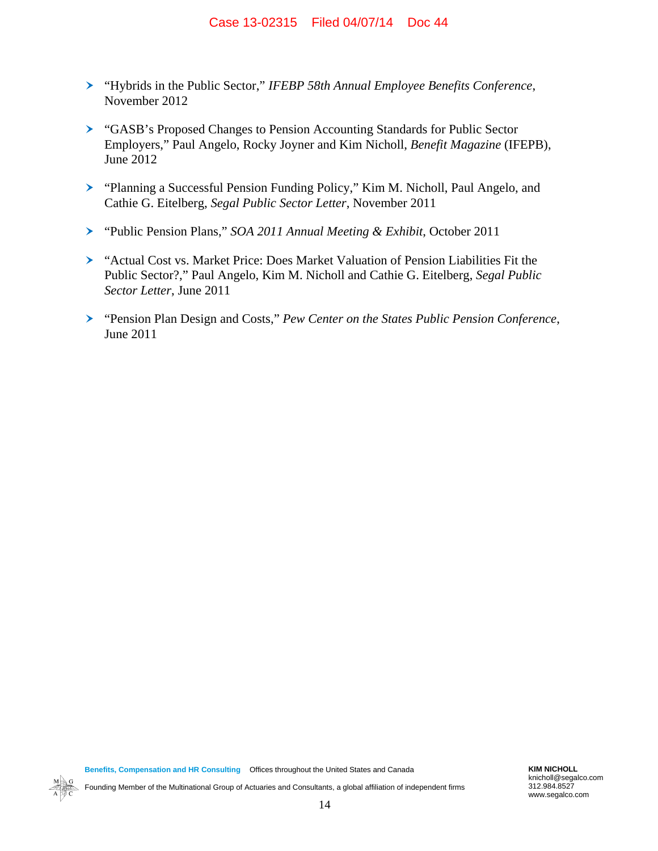- "Hybrids in the Public Sector," *IFEBP 58th Annual Employee Benefits Conference*, November 2012
- "GASB's Proposed Changes to Pension Accounting Standards for Public Sector Employers," Paul Angelo, Rocky Joyner and Kim Nicholl, *Benefit Magazine* (IFEPB), June 2012
- "Planning a Successful Pension Funding Policy," Kim M. Nicholl, Paul Angelo, and Cathie G. Eitelberg, *Segal Public Sector Letter*, November 2011
- "Public Pension Plans," *SOA 2011 Annual Meeting & Exhibit*, October 2011
- "Actual Cost vs. Market Price: Does Market Valuation of Pension Liabilities Fit the Public Sector?," Paul Angelo, Kim M. Nicholl and Cathie G. Eitelberg, *Segal Public Sector Letter*, June 2011
- "Pension Plan Design and Costs," *Pew Center on the States Public Pension Conference*, June 2011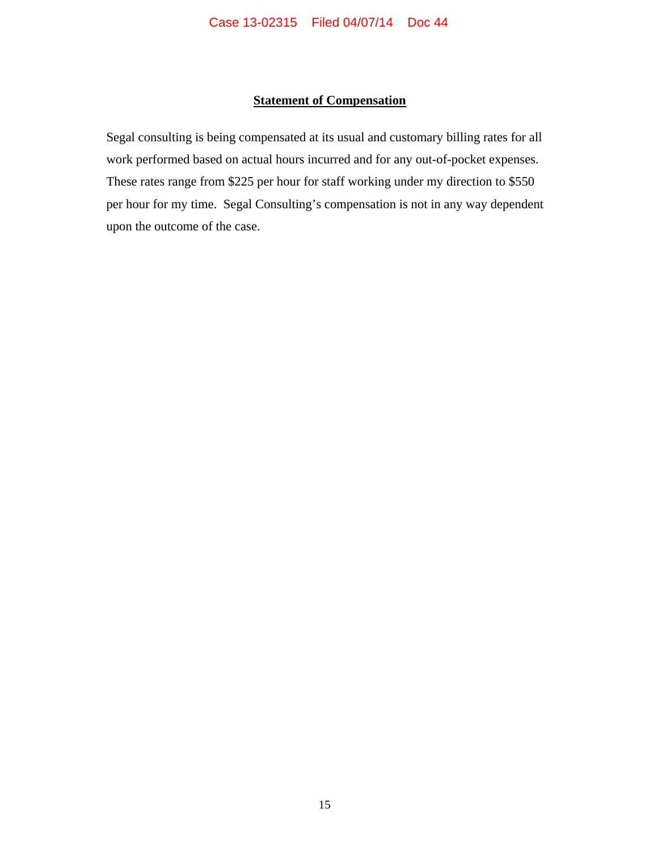## **Statement of Compensation**

Segal consulting is being compensated at its usual and customary billing rates for all work performed based on actual hours incurred and for any out-of-pocket expenses. These rates range from \$225 per hour for staff working under my direction to \$550 per hour for my time. Segal Consulting's compensation is not in any way dependent upon the outcome of the case.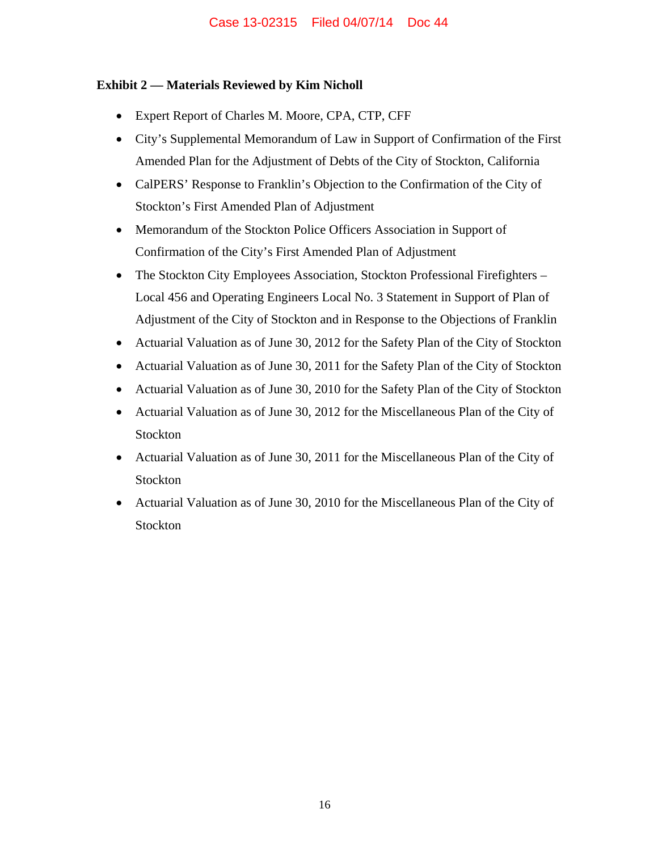## **Exhibit 2 — Materials Reviewed by Kim Nicholl**

- Expert Report of Charles M. Moore, CPA, CTP, CFF
- City's Supplemental Memorandum of Law in Support of Confirmation of the First Amended Plan for the Adjustment of Debts of the City of Stockton, California
- CalPERS' Response to Franklin's Objection to the Confirmation of the City of Stockton's First Amended Plan of Adjustment
- Memorandum of the Stockton Police Officers Association in Support of Confirmation of the City's First Amended Plan of Adjustment
- The Stockton City Employees Association, Stockton Professional Firefighters Local 456 and Operating Engineers Local No. 3 Statement in Support of Plan of Adjustment of the City of Stockton and in Response to the Objections of Franklin
- Actuarial Valuation as of June 30, 2012 for the Safety Plan of the City of Stockton
- Actuarial Valuation as of June 30, 2011 for the Safety Plan of the City of Stockton
- Actuarial Valuation as of June 30, 2010 for the Safety Plan of the City of Stockton
- Actuarial Valuation as of June 30, 2012 for the Miscellaneous Plan of the City of Stockton
- Actuarial Valuation as of June 30, 2011 for the Miscellaneous Plan of the City of Stockton
- Actuarial Valuation as of June 30, 2010 for the Miscellaneous Plan of the City of Stockton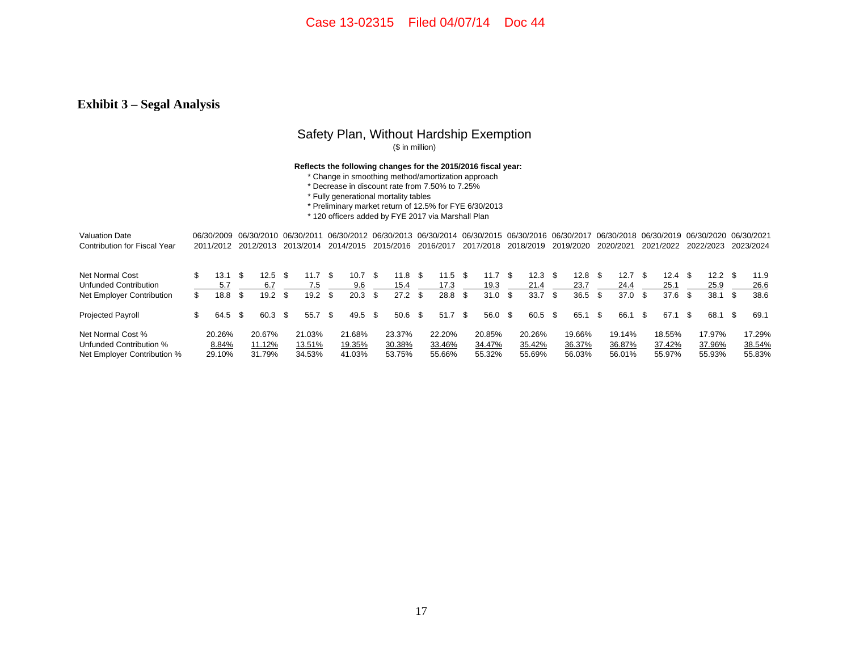## **Exhibit 3 – Segal Analysis**

## Safety Plan, Without Hardship Exemption

(\$ in million)

#### **Reflects the following changes for the 2015/2016 fiscal year:**

- \* Change in smoothing method/amortization approach
- \* Decrease in discount rate from 7.50% to 7.25%
- \* Fully generational mortality tables
- \* Preliminary market return of 12.5% for FYE 6/30/2013
- \* 120 officers added by FYE 2017 via Marshall Plan

| <b>Valuation Date</b>        |     |           |           | 06/30/2009 06/30/2010 06/30/2011 |     |           |    |           |      |                   |      |           |      | 06/30/2012 06/30/2013 06/30/2014 06/30/2015 06/30/2016 06/30/2017 |      |           |      |           |     |           |      | 06/30/2018 06/30/2019 06/30/2020 |                   |      | 06/30/2021 |
|------------------------------|-----|-----------|-----------|----------------------------------|-----|-----------|----|-----------|------|-------------------|------|-----------|------|-------------------------------------------------------------------|------|-----------|------|-----------|-----|-----------|------|----------------------------------|-------------------|------|------------|
| Contribution for Fiscal Year |     | 2011/2012 |           | 2012/2013                        |     | 2013/2014 |    | 2014/2015 |      | 2015/2016         |      | 2016/2017 |      | 2017/2018                                                         |      | 2018/2019 |      | 2019/2020 |     | 2020/2021 |      | 2021/2022                        | 2022/2023         |      | 2023/2024  |
| Net Normal Cost              |     | 13.1      | <b>.s</b> | 12.5                             | \$. | 11.7      | £. | 10.7      | \$.  | 11.8 <sup>5</sup> |      | $11.5$ \$ |      | 11.7                                                              | -S   | 12.3      | - \$ | 12.8      | -96 | 12.7      | - 96 | 12.4 <sup>5</sup>                | 12.2 <sup>5</sup> |      | 11.9       |
| Unfunded Contribution        |     | 5.7       |           | 6.7                              |     | 7.5       |    | 9.6       |      | 15.4              |      | 17.3      |      | 19.3                                                              |      | 21.4      |      | 23.7      |     | 24.4      |      | 25.1                             | 25.9              |      | 26.6       |
| Net Employer Contribution    | \$  | 18.8      | -S        | 19.2                             |     | 19.2      | £. | 20.3      | S    | 27.2              | - \$ | 28.8      | - Տ  | 31.0                                                              | \$   | 33.7      | S    | 36.5      |     | 37.0      | S    | 37.6                             | 38.1              | - \$ | 38.6       |
| Projected Payroll            | \$. | 64.5      | - \$      | 60.3                             | \$. | 55.7      | £. | 49.5      | - \$ | 50.6 <sup>5</sup> |      | 51.7      | - \$ | 56.0                                                              | - \$ | 60.5      | \$.  | 65.1      | \$. | 66.1      | -S   | 67.7                             | 68.1              | - \$ | 69.1       |
| Net Normal Cost %            |     | 20.26%    |           | 20.67%                           |     | 21.03%    |    | 21.68%    |      | 23.37%            |      | 22.20%    |      | 20.85%                                                            |      | 20.26%    |      | 19.66%    |     | 19.14%    |      | 18.55%                           | 17.97%            |      | 17.29%     |
| Unfunded Contribution %      |     | 8.84%     |           | 11.12%                           |     | 13.51%    |    | 19.35%    |      | 30.38%            |      | 33.46%    |      | 34.47%                                                            |      | 35.42%    |      | 36.37%    |     | 36.87%    |      | 37.42%                           | 37.96%            |      | 38.54%     |
| Net Employer Contribution %  |     | 29.10%    |           | 31.79%                           |     | 34.53%    |    | 41.03%    |      | 53.75%            |      | 55.66%    |      | 55.32%                                                            |      | 55.69%    |      | 56.03%    |     | 56.01%    |      | 55.97%                           | 55.93%            |      | 55.83%     |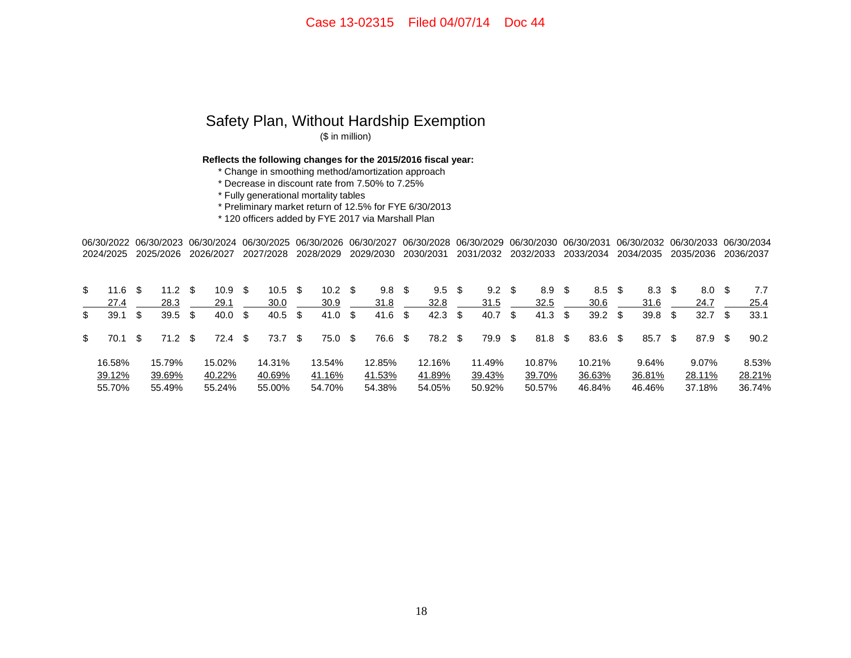#### Safety Plan, Without Hardship Exemption (\$ in million)

**Reflects the following changes for the 2015/2016 fiscal year:**

\* Change in smoothing method/amortization approach

\* Decrease in discount rate from 7.50% to 7.25%

\* Fully generational mortality tables

\* Preliminary market return of 12.5% for FYE 6/30/2013

\* 120 officers added by FYE 2017 via Marshall Plan

06/30/2022 06/30/2023 06/30/2024 06/30/2025 06/30/2026 06/30/2027 06/30/2028 06/30/2029 06/30/2030 06/30/2031 06/30/2032 06/30/2033 06/30/2034 2024/2025 2025/2026 2026/2027 2027/2028 2028/2029 2029/2030 2030/2031 2031/2032 2032/2033 2033/2034 2034/2035 2035/2036 2036/2037

| \$  | 11.6   |     | 11.2      | 10.9 <sup>5</sup> | 10.5               | - \$     | 10.2   | - \$ | 9.8     | S    | 9.5       | $9.2 \quad $$ | 8.9            | 8.5    |      | 8.3    |      | 8.0               | 7.7    |
|-----|--------|-----|-----------|-------------------|--------------------|----------|--------|------|---------|------|-----------|---------------|----------------|--------|------|--------|------|-------------------|--------|
|     | 27.4   |     | 28.3      | 29.1              | 30.0               |          | 30.9   |      | 31.8    |      | 32.8      | 31.5          | 32.5           | 30.6   |      | 31.6   |      | 24.7              | 25.4   |
| \$  | 39.1   |     | $39.5$ \$ | 40.0 S            | $40.5 \text{ } $s$ |          | 41.0   | - \$ | 41.6    | - \$ | $42.3$ \$ | 40.7 \$       | $41.3 \quad $$ | 39.2   | - \$ | 39.8   | - \$ | 32.7 <sup>5</sup> | 33.1   |
| \$. | 70.1   | -SS | 71.2 \$   | 72.4 \$           | 73.7               | <b>S</b> | 75.0   | - \$ | 76.6 \$ |      | 78.2 \$   | 79.9 \$       | 81.8 \$        | 83.6   | - \$ | 85.7   | - \$ | 87.9 \$           | 90.2   |
|     | 16.58% |     | 15.79%    | 15.02%            | 14.31%             |          | 13.54% |      | 12.85%  |      | 12.16%    | 11.49%        | 10.87%         | 10.21% |      | 9.64%  |      | 9.07%             | 8.53%  |
|     | 39.12% |     | 39.69%    | 40.22%            | 40.69%             |          | 41.16% |      | 41.53%  |      | 41.89%    | 39.43%        | 39.70%         | 36.63% |      | 36.81% |      | 28.11%            | 28.21% |
|     | 55.70% |     | 55.49%    | 55.24%            | 55.00%             |          | 54.70% |      | 54.38%  |      | 54.05%    | 50.92%        | 50.57%         | 46.84% |      | 46.46% |      | 37.18%            | 36.74% |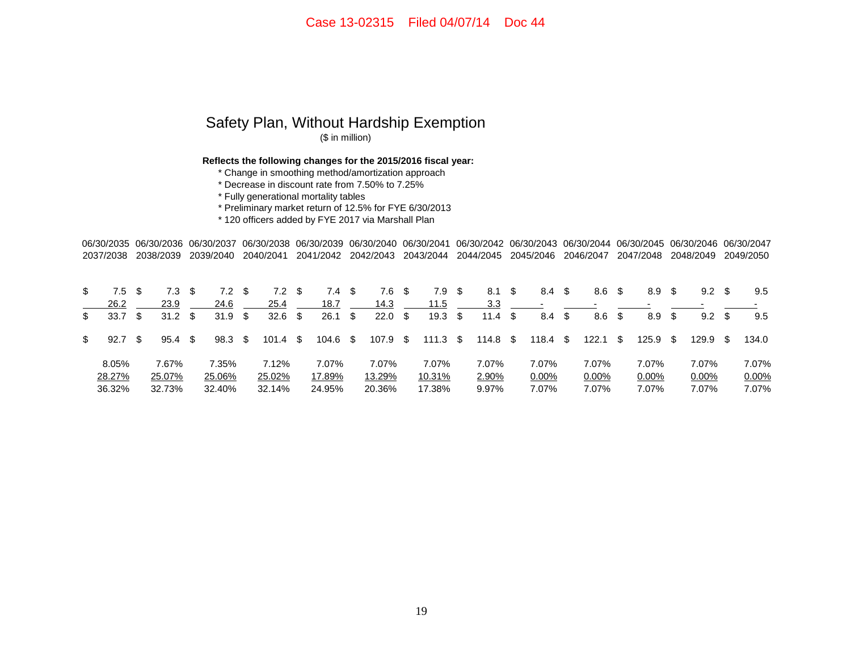## Safety Plan, Without Hardship Exemption (\$ in million)

**Reflects the following changes for the 2015/2016 fiscal year:**

\* Change in smoothing method/amortization approach

\* Decrease in discount rate from 7.50% to 7.25%

\* Fully generational mortality tables

\* Preliminary market return of 12.5% for FYE 6/30/2013

\* 120 officers added by FYE 2017 via Marshall Plan

06/30/2035 06/30/2036 06/30/2037 06/30/2038 06/30/2039 06/30/2040 06/30/2041 06/30/2042 06/30/2043 06/30/2044 06/30/2045 06/30/2046 06/30/20472037/2038 2038/2039 2039/2040 2040/2041 2041/2042 2042/2043 2043/2044 2044/2045 2045/2046 2046/2047 2047/2048 2048/2049 2049/2050

| \$<br>7.5  |     | 7.3               | 7.2               | 7.2        | 7.4      | S  | 7.6      |      | 7.9              | - \$ | 8.1             | - \$ | 8.4      | - \$ | 8.6   | - \$ | 8.9   | S    | 9.2      |   | 9.5   |
|------------|-----|-------------------|-------------------|------------|----------|----|----------|------|------------------|------|-----------------|------|----------|------|-------|------|-------|------|----------|---|-------|
| 26.2       |     | 23.9              | 24.6              | 25.4       | 18.7     |    | 14.3     |      | 11.5             |      | 3.3             |      |          |      |       |      |       |      |          |   |       |
| \$<br>33.7 | -SS | 31.2 <sup>5</sup> | 31.9 <sup>5</sup> | $32.6$ \$  | 26.1     | \$ | 22.0     | - \$ | 19.3             | - \$ | 11.4 $\sqrt{3}$ |      | 8.4      | - \$ | 8.6   | \$   | 8.9   | \$   | 9.2      | S | 9.5   |
| \$<br>92.7 |     | 95.4 <sup>5</sup> | $98.3 \quad $$    | $101.4$ \$ | 104.6 \$ |    | 107.9 \$ |      | 111.3 $\sqrt{3}$ |      | 114.8 \$        |      | 118.4    | SS.  | 122.1 | - \$ | 125.9 | - \$ | 129.9 \$ |   | 134.0 |
| 8.05%      |     | 7.67%             | 7.35%             | 7.12%      | 7.07%    |    | 7.07%    |      | 7.07%            |      | 7.07%           |      | 7.07%    |      | 7.07% |      | 7.07% |      | 7.07%    |   | 7.07% |
| 28.27%     |     | 25.07%            | 25.06%            | 25.02%     | 17.89%   |    | 13.29%   |      | 10.31%           |      | 2.90%           |      | $0.00\%$ |      | 0.00% |      | 0.00% |      | $0.00\%$ |   | 0.00% |
| 36.32%     |     | 32.73%            | 32.40%            | 32.14%     | 24.95%   |    | 20.36%   |      | 17.38%           |      | 9.97%           |      | 7.07%    |      | 7.07% |      | 7.07% |      | 7.07%    |   | 7.07% |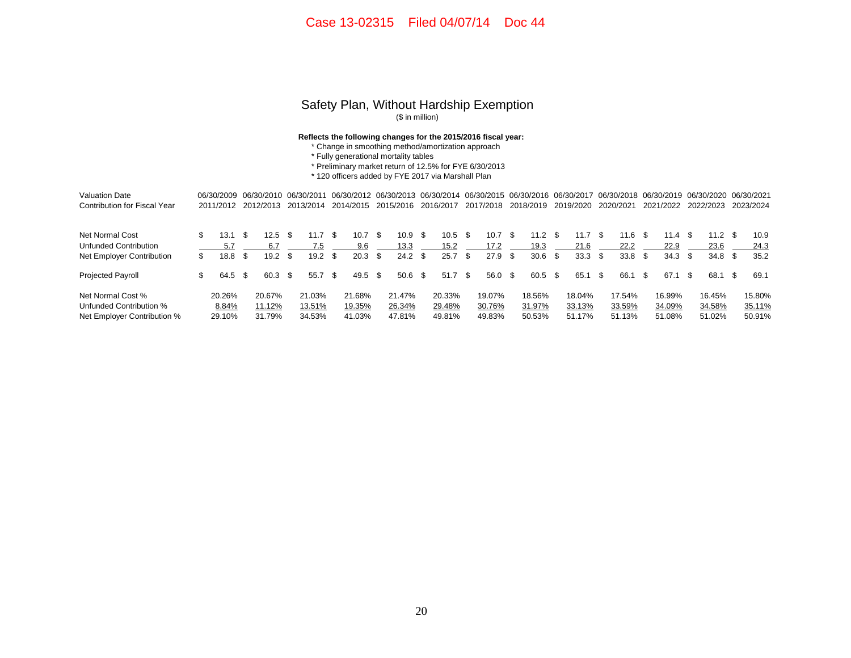#### Safety Plan, Without Hardship Exemption (\$ in million)

#### **Reflects the following changes for the 2015/2016 fiscal year:**

- \* Change in smoothing method/amortization approach
- \* Fully generational mortality tables
- \* Preliminary market return of 12.5% for FYE 6/30/2013

\* 120 officers added by FYE 2017 via Marshall Plan

| <b>Valuation Date</b>               |     | 06/30/2009 |      | 06/30/2010 |      | 06/30/2011 |      |        |      | 06/30/2012 06/30/2013 06/30/2014 06/30/2015 |      |                   |      |           |      | 06/30/2016 06/30/2017 |      |           |      |           |     |           |      | 06/30/2018 06/30/2019 06/30/2020 |      | 06/30/2021 |
|-------------------------------------|-----|------------|------|------------|------|------------|------|--------|------|---------------------------------------------|------|-------------------|------|-----------|------|-----------------------|------|-----------|------|-----------|-----|-----------|------|----------------------------------|------|------------|
| <b>Contribution for Fiscal Year</b> |     | 2011/2012  |      | 2012/2013  |      |            |      |        |      | 2013/2014 2014/2015 2015/2016               |      | 2016/2017         |      | 2017/2018 |      | 2018/2019             |      | 2019/2020 |      | 2020/2021 |     | 2021/2022 |      | 2022/2023                        |      | 2023/2024  |
| Net Normal Cost                     |     | 13.1       |      | $12.5$ \$  |      | 11.7       | - SS | 10.7   | -SS  | 10.9                                        | - S  | 10.5 <sup>5</sup> |      | 10.7      | - \$ | 11.2                  | - \$ | 11.7      | - \$ | 1.6       | -SS | 11.4 S    |      | 11.2 <sup>5</sup>                |      | 10.9       |
| Unfunded Contribution               |     |            |      | 6.7        |      |            |      | 9.6    |      | 13.3                                        |      | 15.2              |      | 17.2      |      | 19.3                  |      | 21.6      |      | 22.2      |     | 22.9      |      | 23.6                             |      | 24.3       |
| Net Employer Contribution           | \$. | 18.8       |      | 19.2       | - \$ | 19.2       | - \$ | 20.3   | -SS  | 24.2                                        | -\$  | 25.7              | - 96 | $27.9$ \$ |      | 30.6                  | -S   | 33.3      | \$.  | 33.8      | S   | 34.3      | - \$ | 34.8 <sup>5</sup>                |      | 35.2       |
| Projected Payroll                   | \$. | 64.5       | - \$ | 60.3 \$    |      | 55.7       | -\$  | 49.5   | - \$ | 50.6                                        | - 96 | 51.7              | - \$ | 56.0 \$   |      | 60.5                  | -\$  | 65.1      | \$.  | 66.1      | -S  | 67.1      |      | 68.1                             | - \$ | 69.1       |
| Net Normal Cost %                   |     | 20.26%     |      | 20.67%     |      | 21.03%     |      | 21.68% |      | 21.47%                                      |      | 20.33%            |      | 19.07%    |      | 18.56%                |      | 18.04%    |      | 17.54%    |     | 16.99%    |      | 16.45%                           |      | 15.80%     |
| Unfunded Contribution %             |     | 8.84%      |      | 11.12%     |      | 13.51%     |      | 19.35% |      | 26.34%                                      |      | 29.48%            |      | 30.76%    |      | 31.97%                |      | 33.13%    |      | 33.59%    |     | 34.09%    |      | 34.58%                           |      | 35.11%     |
| Net Employer Contribution %         |     | 29.10%     |      | 31.79%     |      | 34.53%     |      | 41.03% |      | 47.81%                                      |      | 49.81%            |      | 49.83%    |      | 50.53%                |      | 51.17%    |      | 51.13%    |     | 51.08%    |      | 51.02%                           |      | 50.91%     |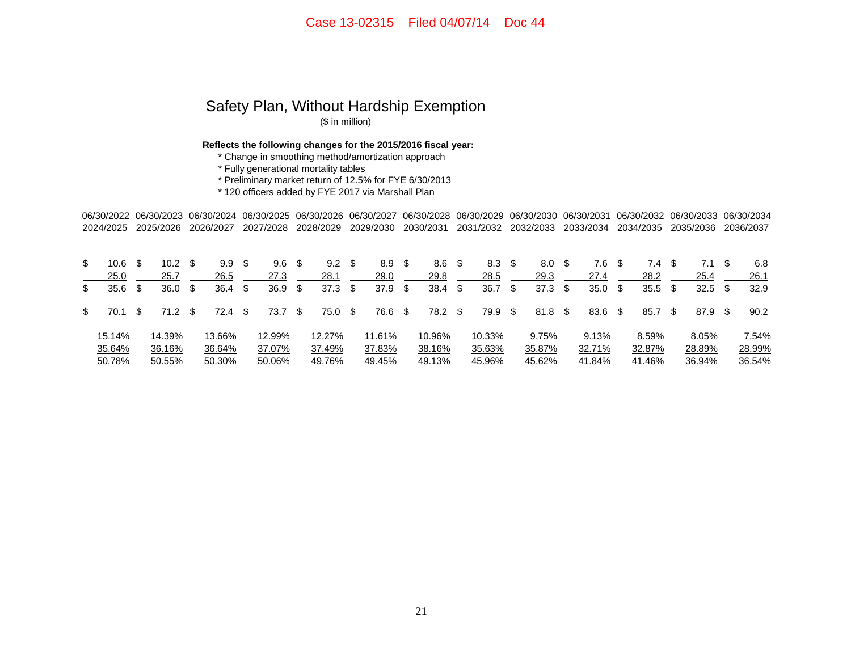# Safety Plan, Without Hardship Exemption

(\$ in million)

**Reflects the following changes for the 2015/2016 fiscal year:**

\* Change in smoothing method/amortization approach

\* Fully generational mortality tables

\* Preliminary market return of 12.5% for FYE 6/30/2013

\* 120 officers added by FYE 2017 via Marshall Plan

06/30/2022 06/30/2023 06/30/2024 06/30/2025 06/30/2026 06/30/2027 06/30/2028 06/30/2029 06/30/2030 06/30/2031 06/30/2032 06/30/2033 06/30/2034 2024/2025 2025/2026 2026/2027 2027/2028 2028/2029 2029/2030 2030/2031 2031/2032 2032/2033 2033/2034 2034/2035 2035/2036 2036/2037

| \$<br>10.6 |     | 10.2   |      | 9.9 <sup>5</sup> |     | 9.6               | - \$ | 9.2    | - \$ | 8.9    | S    | 8.6     | - \$ | 8.3 <sup>5</sup> |      | 8.0     | - \$ | 7.6    |      | 7.4.   |    | 7.1       | 6.8    |
|------------|-----|--------|------|------------------|-----|-------------------|------|--------|------|--------|------|---------|------|------------------|------|---------|------|--------|------|--------|----|-----------|--------|
| 25.0       |     | 25.7   |      | 26.5             |     | 27.3              |      | 28.1   |      | 29.0   |      | 29.8    |      | 28.5             |      | 29.3    |      | 27.4   |      | 28.2   |    | 25.4      | 26.1   |
| \$<br>35.6 |     | 36.0   | \$   | 36.4             | -SS | 36.9 <sup>5</sup> |      | 37.3   | - \$ | 37.9   | -\$  | 38.4    | \$   | 36.7             | - \$ | 37.3    | - \$ | 35.0   | - \$ | 35.5   | \$ | $32.5$ \$ | 32.9   |
| \$<br>70.1 | \$. | 71.2   | - \$ | 72.4 \$          |     | 73.7              | - \$ | 75.0   | - \$ | 76.6   | - \$ | 78.2 \$ |      | 79.9 \$          |      | 81.8 \$ |      | 83.6   | - \$ | 85.7   | S  | 87.9 \$   | 90.2   |
| 15.14%     |     | 14.39% |      | 13.66%           |     | 12.99%            |      | 12.27% |      | 11.61% |      | 10.96%  |      | 10.33%           |      | 9.75%   |      | 9.13%  |      | 8.59%  |    | 8.05%     | 7.54%  |
| 35.64%     |     | 36.16% |      | 36.64%           |     | 37.07%            |      | 37.49% |      | 37.83% |      | 38.16%  |      | 35.63%           |      | 35.87%  |      | 32.71% |      | 32.87% |    | 28.89%    | 28.99% |
| 50.78%     |     | 50.55% |      | 50.30%           |     | 50.06%            |      | 49.76% |      | 49.45% |      | 49.13%  |      | 45.96%           |      | 45.62%  |      | 41.84% |      | 41.46% |    | 36.94%    | 36.54% |